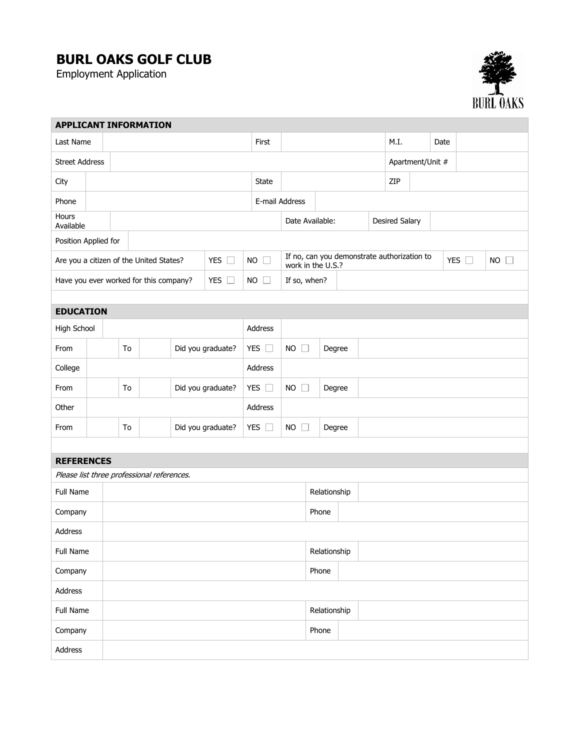## **BURL OAKS GOLF CLUB**

Employment Application



| <b>APPLICANT INFORMATION</b> |  |                                                          |                                            |  |                   |                |               |                                                                  |                 |              |                  |                       |     |  |               |           |   |  |
|------------------------------|--|----------------------------------------------------------|--------------------------------------------|--|-------------------|----------------|---------------|------------------------------------------------------------------|-----------------|--------------|------------------|-----------------------|-----|--|---------------|-----------|---|--|
| Last Name                    |  |                                                          |                                            |  | First             |                |               |                                                                  |                 | M.I.         |                  | Date                  |     |  |               |           |   |  |
| <b>Street Address</b>        |  |                                                          |                                            |  |                   |                |               |                                                                  |                 |              | Apartment/Unit # |                       |     |  |               |           |   |  |
| City                         |  |                                                          |                                            |  |                   |                | <b>State</b>  |                                                                  |                 |              |                  |                       | ZIP |  |               |           |   |  |
| Phone                        |  |                                                          |                                            |  |                   | E-mail Address |               |                                                                  |                 |              |                  |                       |     |  |               |           |   |  |
| Hours<br>Available           |  |                                                          |                                            |  |                   |                |               |                                                                  | Date Available: |              |                  | <b>Desired Salary</b> |     |  |               |           |   |  |
| Position Applied for         |  |                                                          |                                            |  |                   |                |               |                                                                  |                 |              |                  |                       |     |  |               |           |   |  |
|                              |  | Are you a citizen of the United States?<br>YES $\square$ |                                            |  | <b>NO</b>         |                |               | If no, can you demonstrate authorization to<br>work in the U.S.? |                 |              |                  |                       |     |  | YES $\square$ | <b>NO</b> | П |  |
|                              |  | Have you ever worked for this company?                   |                                            |  | YES $\square$     |                | <b>NO</b>     | If so, when?                                                     |                 |              |                  |                       |     |  |               |           |   |  |
|                              |  |                                                          |                                            |  |                   |                |               |                                                                  |                 |              |                  |                       |     |  |               |           |   |  |
| <b>EDUCATION</b>             |  |                                                          |                                            |  |                   |                |               |                                                                  |                 |              |                  |                       |     |  |               |           |   |  |
| High School                  |  |                                                          |                                            |  |                   |                | Address       |                                                                  |                 |              |                  |                       |     |  |               |           |   |  |
| From                         |  | To                                                       |                                            |  | Did you graduate? |                | YES $\square$ | <b>NO</b><br>$\Box$                                              | Degree          |              |                  |                       |     |  |               |           |   |  |
| College                      |  |                                                          |                                            |  |                   | Address        |               |                                                                  |                 |              |                  |                       |     |  |               |           |   |  |
| From                         |  | To                                                       |                                            |  | Did you graduate? | YES $\square$  |               | $NO$ $\Box$                                                      | Degree          |              |                  |                       |     |  |               |           |   |  |
| Other                        |  |                                                          |                                            |  |                   |                | Address       |                                                                  |                 |              |                  |                       |     |  |               |           |   |  |
| From                         |  | To                                                       |                                            |  | Did you graduate? | YES $\square$  |               | $NO$ $\Box$                                                      | Degree          |              |                  |                       |     |  |               |           |   |  |
|                              |  |                                                          |                                            |  |                   |                |               |                                                                  |                 |              |                  |                       |     |  |               |           |   |  |
| <b>REFERENCES</b>            |  |                                                          |                                            |  |                   |                |               |                                                                  |                 |              |                  |                       |     |  |               |           |   |  |
|                              |  |                                                          | Please list three professional references. |  |                   |                |               |                                                                  |                 |              |                  |                       |     |  |               |           |   |  |
| Full Name                    |  |                                                          |                                            |  |                   |                |               |                                                                  | Relationship    |              |                  |                       |     |  |               |           |   |  |
| Company                      |  |                                                          |                                            |  |                   |                |               |                                                                  | Phone           |              |                  |                       |     |  |               |           |   |  |
| Address                      |  |                                                          |                                            |  |                   |                |               |                                                                  |                 |              |                  |                       |     |  |               |           |   |  |
| Full Name                    |  |                                                          |                                            |  |                   |                |               |                                                                  | Relationship    |              |                  |                       |     |  |               |           |   |  |
| Company                      |  |                                                          |                                            |  |                   |                |               |                                                                  | Phone           |              |                  |                       |     |  |               |           |   |  |
| Address                      |  |                                                          |                                            |  |                   |                |               |                                                                  |                 |              |                  |                       |     |  |               |           |   |  |
| Full Name                    |  |                                                          |                                            |  |                   |                |               |                                                                  |                 | Relationship |                  |                       |     |  |               |           |   |  |
| Company                      |  |                                                          |                                            |  |                   |                |               |                                                                  | Phone           |              |                  |                       |     |  |               |           |   |  |
| Address                      |  |                                                          |                                            |  |                   |                |               |                                                                  |                 |              |                  |                       |     |  |               |           |   |  |